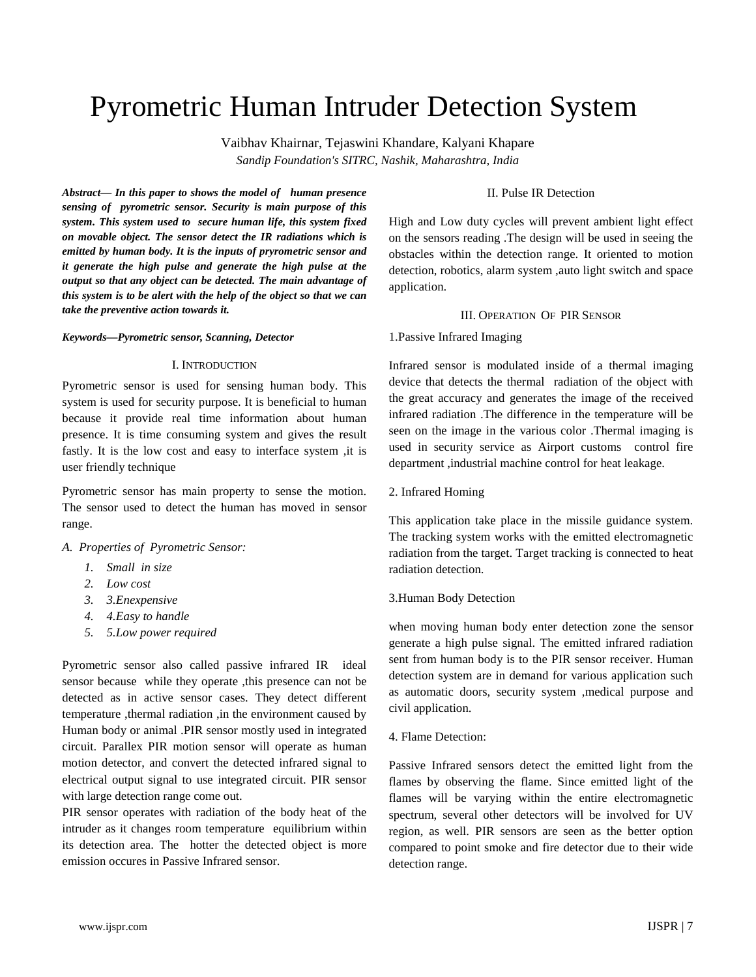# Pyrometric Human Intruder Detection System

Vaibhav Khairnar, Tejaswini Khandare, Kalyani Khapare *Sandip Foundation's SITRC, Nashik, Maharashtra, India*

*Abstract— In this paper to shows the model of human presence sensing of pyrometric sensor. Security is main purpose of this system. This system used to secure human life, this system fixed on movable object. The sensor detect the IR radiations which is emitted by human body. It is the inputs of pryrometric sensor and it generate the high pulse and generate the high pulse at the output so that any object can be detected. The main advantage of this system is to be alert with the help of the object so that we can take the preventive action towards it.*

#### *Keywords—Pyrometric sensor, Scanning, Detector*

## I. INTRODUCTION

Pyrometric sensor is used for sensing human body. This system is used for security purpose. It is beneficial to human because it provide real time information about human presence. It is time consuming system and gives the result fastly. It is the low cost and easy to interface system ,it is user friendly technique

Pyrometric sensor has main property to sense the motion. The sensor used to detect the human has moved in sensor range.

# *A. Properties of Pyrometric Sensor:*

- *1. Small in size*
- *2. Low cost*
- *3. 3.Enexpensive*
- *4. 4.Easy to handle*
- *5. 5.Low power required*

Pyrometric sensor also called passive infrared IR ideal sensor because while they operate , this presence can not be detected as in active sensor cases. They detect different temperature ,thermal radiation ,in the environment caused by Human body or animal .PIR sensor mostly used in integrated circuit. Parallex PIR motion sensor will operate as human motion detector, and convert the detected infrared signal to electrical output signal to use integrated circuit. PIR sensor with large detection range come out.

PIR sensor operates with radiation of the body heat of the intruder as it changes room temperature equilibrium within its detection area. The hotter the detected object is more emission occures in Passive Infrared sensor.

# II. Pulse IR Detection

High and Low duty cycles will prevent ambient light effect on the sensors reading .The design will be used in seeing the obstacles within the detection range. It oriented to motion detection, robotics, alarm system ,auto light switch and space application.

#### III. OPERATION OF PIR SENSOR

# 1.Passive Infrared Imaging

Infrared sensor is modulated inside of a thermal imaging device that detects the thermal radiation of the object with the great accuracy and generates the image of the received infrared radiation .The difference in the temperature will be seen on the image in the various color .Thermal imaging is used in security service as Airport customs control fire department ,industrial machine control for heat leakage.

# 2. Infrared Homing

This application take place in the missile guidance system. The tracking system works with the emitted electromagnetic radiation from the target. Target tracking is connected to heat radiation detection.

## 3.Human Body Detection

when moving human body enter detection zone the sensor generate a high pulse signal. The emitted infrared radiation sent from human body is to the PIR sensor receiver. Human detection system are in demand for various application such as automatic doors, security system ,medical purpose and civil application.

#### 4. Flame Detection:

Passive Infrared sensors detect the emitted light from the flames by observing the flame. Since emitted light of the flames will be varying within the entire electromagnetic spectrum, several other detectors will be involved for UV region, as well. PIR sensors are seen as the better option compared to point smoke and fire detector due to their wide detection range.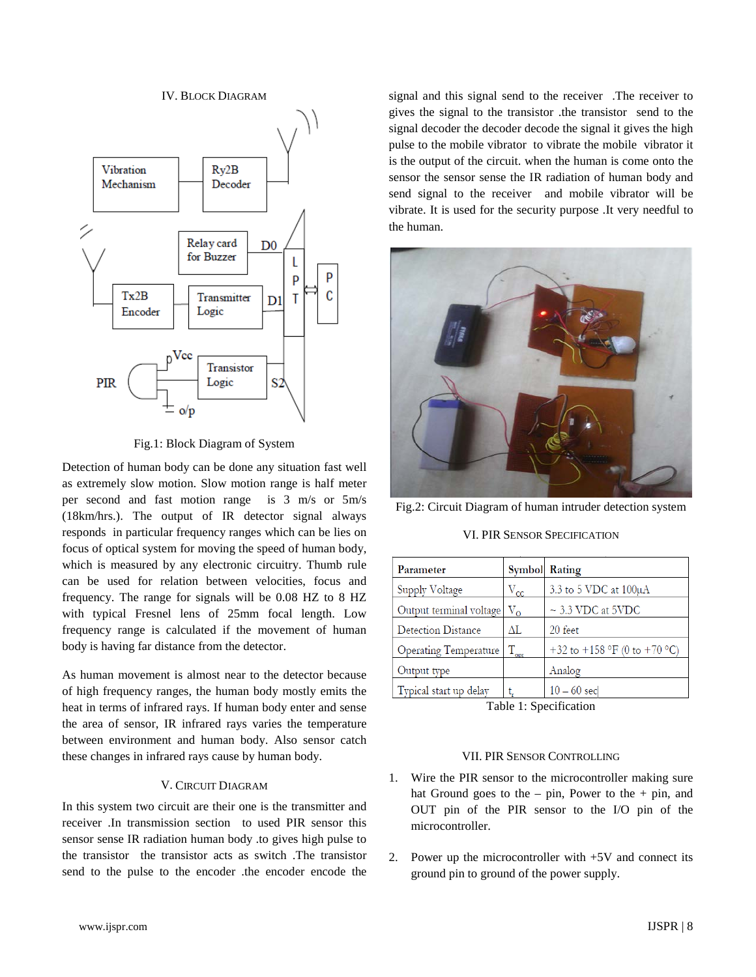IV. BLOCK DIAGRAM



Fig.1: Block Diagram of System

Detection of human body can be done any situation fast well as extremely slow motion. Slow motion range is half meter per second and fast motion range is 3 m/s or 5m/s (18km/hrs.). The output of IR detector signal always responds in particular frequency ranges which can be lies on focus of optical system for moving the speed of human body, which is measured by any electronic circuitry. Thumb rule can be used for relation between velocities, focus and frequency. The range for signals will be 0.08 HZ to 8 HZ with typical Fresnel lens of 25mm focal length. Low frequency range is calculated if the movement of human body is having far distance from the detector.

As human movement is almost near to the detector because of high frequency ranges, the human body mostly emits the heat in terms of infrared rays. If human body enter and sense the area of sensor, IR infrared rays varies the temperature between environment and human body. Also sensor catch these changes in infrared rays cause by human body.

# V. CIRCUIT DIAGRAM

In this system two circuit are their one is the transmitter and receiver .In transmission section to used PIR sensor this sensor sense IR radiation human body .to gives high pulse to the transistor the transistor acts as switch .The transistor send to the pulse to the encoder .the encoder encode the signal and this signal send to the receiver .The receiver to gives the signal to the transistor .the transistor send to the signal decoder the decoder decode the signal it gives the high pulse to the mobile vibrator to vibrate the mobile vibrator it is the output of the circuit. when the human is come onto the sensor the sensor sense the IR radiation of human body and send signal to the receiver and mobile vibrator will be vibrate. It is used for the security purpose .It very needful to the human.



Fig.2: Circuit Diagram of human intruder detection system

VI. PIR SENSOR SPECIFICATION

| Parameter                 |               | <b>Symbol</b> Rating                                              |
|---------------------------|---------------|-------------------------------------------------------------------|
| Supply Voltage            | $\rm V_{cc}$  | 3.3 to 5 VDC at $100\mu A$                                        |
| Output terminal voltage   | $V_{\rm o}$   | $\sim$ 3.3 VDC at 5VDC                                            |
| <b>Detection Distance</b> | ΔL            | 20 feet                                                           |
| Operating Temperature     | $T_{\rm opt}$ | +32 to +158 $\mathrm{^{\circ}F}$ (0 to +70 $\mathrm{^{\circ}C}$ ) |
| Output type               |               | Analog                                                            |
| Typical start up delay    |               | $10 - 60$ sec                                                     |

Table 1: Specification

# VII. PIR SENSOR CONTROLLING

- 1. Wire the PIR sensor to the microcontroller making sure hat Ground goes to the  $-$  pin, Power to the  $+$  pin, and OUT pin of the PIR sensor to the I/O pin of the microcontroller.
- 2. Power up the microcontroller with +5V and connect its ground pin to ground of the power supply.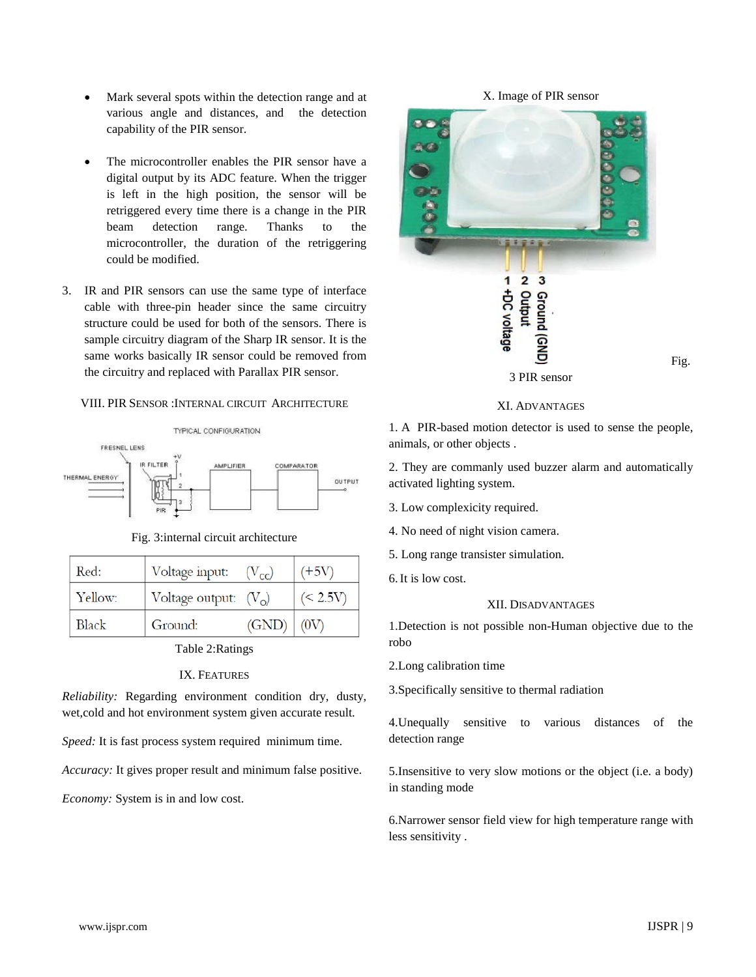- Mark several spots within the detection range and at various angle and distances, and the detection capability of the PIR sensor.
- The microcontroller enables the PIR sensor have a digital output by its ADC feature. When the trigger is left in the high position, the sensor will be retriggered every time there is a change in the PIR beam detection range. Thanks to the microcontroller, the duration of the retriggering could be modified.
- 3. IR and PIR sensors can use the same type of interface cable with three-pin header since the same circuitry structure could be used for both of the sensors. There is sample circuitry diagram of the Sharp IR sensor. It is the same works basically IR sensor could be removed from the circuitry and replaced with Parallax PIR sensor.

# VIII. PIR SENSOR :INTERNAL CIRCUIT ARCHITECTURE



Fig. 3:internal circuit architecture

| Red:    | Voltage input:         | $(V_{cc})$ | $(+5V)$     |
|---------|------------------------|------------|-------------|
| Yellow: | Voltage output: $(Vo)$ |            | (< 2.5V)    |
| Black   | Ground:                | (GND)      | $\mid$ (0V) |

Table 2:Ratings

#### IX. FEATURES

*Reliability:* Regarding environment condition dry, dusty, wet,cold and hot environment system given accurate result.

*Speed:* It is fast process system required minimum time.

*Accuracy:* It gives proper result and minimum false positive.

*Economy:* System is in and low cost.



## XI. ADVANTAGES

1. A PIR-based motion detector is used to sense the people, animals, or other objects .

2. They are commanly used buzzer alarm and automatically activated lighting system.

- 3. Low complexicity required.
- 4. No need of night vision camera.
- 5. Long range transister simulation.
- 6.It is low cost.

# XII. DISADVANTAGES

1.Detection is not possible non-Human objective due to the robo

2.Long calibration time

3.Specifically sensitive to thermal radiation

4.Unequally sensitive to various distances of the detection range

5.Insensitive to very slow motions or the object (i.e. a body) in standing mode

6.Narrower sensor field view for high temperature range with less sensitivity .

#### www.ijspr.com **IJSPR** | 9